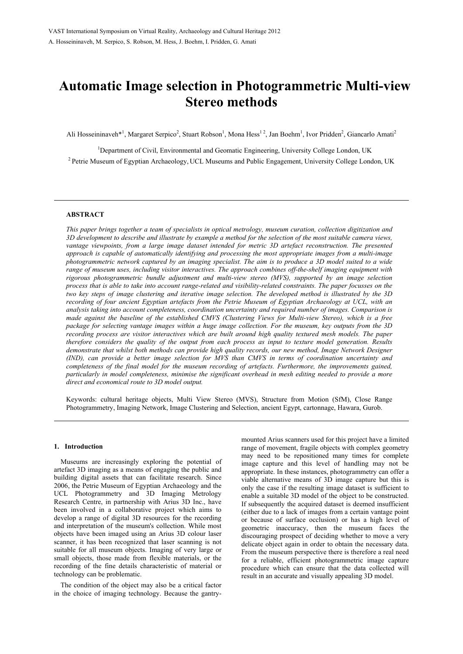# **Automatic Image selection in Photogrammetric Multi-view Stereo methods**

Ali Hosseininaveh\*<sup>1</sup>, Margaret Serpico<sup>2</sup>, Stuart Robson<sup>1</sup>, Mona Hess<sup>12</sup>, Jan Boehm<sup>1</sup>, Ivor Pridden<sup>2</sup>, Giancarlo Amati<sup>2</sup>

<sup>1</sup>Department of Civil, Environmental and Geomatic Engineering, University College London, UK <sup>2</sup> Petrie Museum of Egyptian Archaeology, UCL Museums and Public Engagement, University College London, UK

### **ABSTRACT**

*This paper brings together a team of specialists in optical metrology, museum curation, collection digitization and 3D development to describe and illustrate by example a method for the selection of the most suitable camera views, vantage viewpoints, from a large image dataset intended for metric 3D artefact reconstruction. The presented approach is capable of automatically identifying and processing the most appropriate images from a multi-image photogrammetric network captured by an imaging specialist. The aim is to produce a 3D model suited to a wide range of museum uses, including visitor interactives. The approach combines off-the-shelf imaging equipment with rigorous photogrammetric bundle adjustment and multi-view stereo (MVS), supported by an image selection process that is able to take into account range-related and visibility-related constraints. The paper focusses on the two key steps of image clustering and iterative image selection. The developed method is illustrated by the 3D recording of four ancient Egyptian artefacts from the Petrie Museum of Egyptian Archaeology at UCL, with an analysis taking into account completeness, coordination uncertainty and required number of images. Comparison is made against the baseline of the established CMVS (Clustering Views for Multi-view Stereo), which is a free package for selecting vantage images within a huge image collection. For the museum, key outputs from the 3D recording process are visitor interactives which are built around high quality textured mesh models. The paper therefore considers the quality of the output from each process as input to texture model generation. Results demonstrate that whilst both methods can provide high quality records, our new method, Image Network Designer (IND), can provide a better image selection for MVS than CMVS in terms of coordination uncertainty and completeness of the final model for the museum recording of artefacts. Furthermore, the improvements gained, particularly in model completeness, minimise the significant overhead in mesh editing needed to provide a more direct and economical route to 3D model output.* 

Keywords: cultural heritage objects, Multi View Stereo (MVS), Structure from Motion (SfM), Close Range Photogrammetry, Imaging Network, Image Clustering and Selection, ancient Egypt, cartonnage, Hawara, Gurob.

#### **1. Introduction**

Museums are increasingly exploring the potential of artefact 3D imaging as a means of engaging the public and building digital assets that can facilitate research. Since 2006, the Petrie Museum of Egyptian Archaeology and the UCL Photogrammetry and 3D Imaging Metrology Research Centre, in partnership with Arius 3D Inc., have been involved in a collaborative project which aims to develop a range of digital 3D resources for the recording and interpretation of the museum's collection. While most objects have been imaged using an Arius 3D colour laser scanner, it has been recognized that laser scanning is not suitable for all museum objects. Imaging of very large or small objects, those made from flexible materials, or the recording of the fine details characteristic of material or technology can be problematic.

The condition of the object may also be a critical factor in the choice of imaging technology. Because the gantrymounted Arius scanners used for this project have a limited range of movement, fragile objects with complex geometry may need to be repositioned many times for complete image capture and this level of handling may not be appropriate. In these instances, photogrammetry can offer a viable alternative means of 3D image capture but this is only the case if the resulting image dataset is sufficient to enable a suitable 3D model of the object to be constructed. If subsequently the acquired dataset is deemed insufficient (either due to a lack of images from a certain vantage point or because of surface occlusion) or has a high level of geometric inaccuracy, then the museum faces the discouraging prospect of deciding whether to move a very delicate object again in order to obtain the necessary data. From the museum perspective there is therefore a real need for a reliable, efficient photogrammetric image capture procedure which can ensure that the data collected will result in an accurate and visually appealing 3D model.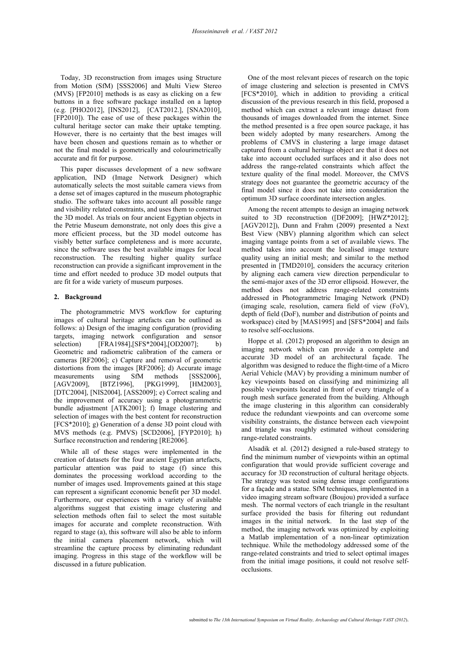Today, 3D reconstruction from images using Structure from Motion (SfM) [SSS2006] and Multi View Stereo (MVS) [FP2010] methods is as easy as clicking on a few buttons in a free software package installed on a laptop (e.g. [PHO2012], [INS2012], [CAT2012.], [SNA2010], [FP2010]). The ease of use of these packages within the cultural heritage sector can make their uptake tempting. However, there is no certainty that the best images will have been chosen and questions remain as to whether or not the final model is geometrically and colourimetrically accurate and fit for purpose.

This paper discusses development of a new software application, IND (Image Network Designer) which automatically selects the most suitable camera views from a dense set of images captured in the museum photographic studio. The software takes into account all possible range and visibility related constraints, and uses them to construct the 3D model. As trials on four ancient Egyptian objects in the Petrie Museum demonstrate, not only does this give a more efficient process, but the 3D model outcome has visibly better surface completeness and is more accurate, since the software uses the best available images for local reconstruction. The resulting higher quality surface reconstruction can provide a significant improvement in the time and effort needed to produce 3D model outputs that are fit for a wide variety of museum purposes.

# **2. Background**

The photogrammetric MVS workflow for capturing images of cultural heritage artefacts can be outlined as follows: a) Design of the imaging configuration (providing targets, imaging network configuration and sensor selection) [FRA1984],[SFS\*2004],[OD2007]; Geometric and radiometric calibration of the camera or cameras [RF2006]; c) Capture and removal of geometric distortions from the images [RF2006]; d) Accurate image measurements using SfM methods [SSS2006], [AGV2009], [BTZ1996], [PKG1999], [HM2003], [DTC2004], [NIS2004], [ASS2009]; e) Correct scaling and the improvement of accuracy using a photogrammetric bundle adjustment [ATK2001]; f) Image clustering and selection of images with the best content for reconstruction [FCS\*2010]; g) Generation of a dense 3D point cloud with MVS methods (e.g. PMVS) [SCD2006], [FYP2010]; h) Surface reconstruction and rendering [RE2006].

While all of these stages were implemented in the creation of datasets for the four ancient Egyptian artefacts, particular attention was paid to stage (f) since this dominates the processing workload according to the number of images used. Improvements gained at this stage can represent a significant economic benefit per 3D model. Furthermore, our experiences with a variety of available algorithms suggest that existing image clustering and selection methods often fail to select the most suitable images for accurate and complete reconstruction. With regard to stage (a), this software will also be able to inform the initial camera placement network, which will streamline the capture process by eliminating redundant imaging. Progress in this stage of the workflow will be discussed in a future publication.

One of the most relevant pieces of research on the topic of image clustering and selection is presented in CMVS [FCS\*2010], which in addition to providing a critical discussion of the previous research in this field, proposed a method which can extract a relevant image dataset from thousands of images downloaded from the internet. Since the method presented is a free open source package, it has been widely adopted by many researchers. Among the problems of CMVS in clustering a large image dataset captured from a cultural heritage object are that it does not take into account occluded surfaces and it also does not address the range-related constraints which affect the texture quality of the final model. Moreover, the CMVS strategy does not guarantee the geometric accuracy of the final model since it does not take into consideration the optimum 3D surface coordinate intersection angles.

Among the recent attempts to design an imaging network suited to 3D reconstruction ([DF2009]; [HWZ\*2012]; [AGV2012]), Dunn and Frahm (2009) presented a Next Best View (NBV) planning algorithm which can select imaging vantage points from a set of available views. The method takes into account the localised image texture quality using an initial mesh; and similar to the method presented in [TMD2010], considers the accuracy criterion by aligning each camera view direction perpendicular to the semi-major axes of the 3D error ellipsoid. However, the method does not address range-related constraints addressed in Photogrammetric Imaging Network (PND) (imaging scale, resolution, camera field of view (FoV), depth of field (DoF), number and distribution of points and workspace) cited by [MAS1995] and [SFS\*2004] and fails to resolve self-occlusions.

Hoppe et al. (2012) proposed an algorithm to design an imaging network which can provide a complete and accurate 3D model of an architectural façade. The algorithm was designed to reduce the flight-time of a Micro Aerial Vehicle (MAV) by providing a minimum number of key viewpoints based on classifying and minimizing all possible viewpoints located in front of every triangle of a rough mesh surface generated from the building. Although the image clustering in this algorithm can considerably reduce the redundant viewpoints and can overcome some visibility constraints, the distance between each viewpoint and triangle was roughly estimated without considering range-related constraints.

Alsadik et al. (2012) designed a rule-based strategy to find the minimum number of viewpoints within an optimal configuration that would provide sufficient coverage and accuracy for 3D reconstruction of cultural heritage objects. The strategy was tested using dense image configurations for a façade and a statue. SfM techniques, implemented in a video imaging stream software (Boujou) provided a surface mesh. The normal vectors of each triangle in the resultant surface provided the basis for filtering out redundant images in the initial network. In the last step of the method, the imaging network was optimized by exploiting a Matlab implementation of a non-linear optimization technique. While the methodology addressed some of the range-related constraints and tried to select optimal images from the initial image positions, it could not resolve selfocclusions.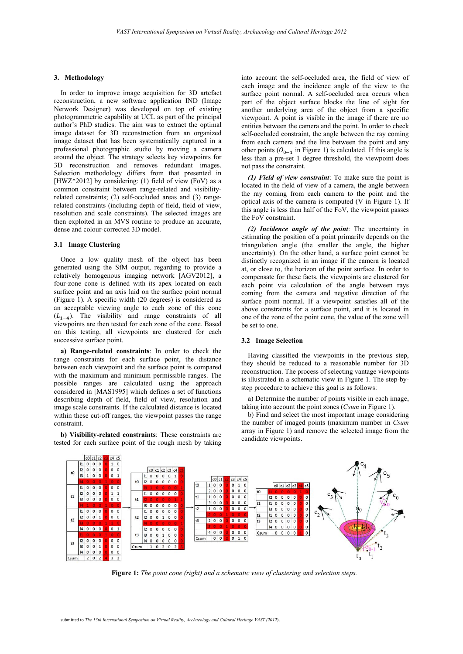### **3. Methodology**

In order to improve image acquisition for 3D artefact reconstruction, a new software application IND (Image Network Designer) was developed on top of existing photogrammetric capability at UCL as part of the principal author's PhD studies. The aim was to extract the optimal image dataset for 3D reconstruction from an organized image dataset that has been systematically captured in a professional photographic studio by moving a camera around the object. The strategy selects key viewpoints for 3D reconstruction and removes redundant images. Selection methodology differs from that presented in [HWZ\*2012] by considering: (1) field of view (FoV) as a common constraint between range-related and visibilityrelated constraints; (2) self-occluded areas and (3) rangerelated constraints (including depth of field, field of view, resolution and scale constraints). The selected images are then exploited in an MVS routine to produce an accurate, dense and colour-corrected 3D model.

# **3.1 Image Clustering**

Once a low quality mesh of the object has been generated using the SfM output, regarding to provide a relatively homogenous imaging network [AGV2012], a four-zone cone is defined with its apex located on each surface point and an axis laid on the surface point normal (Figure 1). A specific width (20 degrees) is considered as an acceptable viewing angle to each zone of this cone  $(L_{1-4})$ . The visibility and range constraints of all viewpoints are then tested for each zone of the cone. Based on this testing, all viewpoints are clustered for each successive surface point.

**a) Range-related constraints**: In order to check the range constraints for each surface point, the distance between each viewpoint and the surface point is compared with the maximum and minimum permissible ranges. The possible ranges are calculated using the approach considered in [MAS1995] which defines a set of functions describing depth of field, field of view, resolution and image scale constraints. If the calculated distance is located within these cut-off ranges, the viewpoint passes the range constraint.

**b) Visibility-related constraints**: These constraints are tested for each surface point of the rough mesh by taking into account the self-occluded area, the field of view of each image and the incidence angle of the view to the surface point normal. A self-occluded area occurs when part of the object surface blocks the line of sight for another underlying area of the object from a specific viewpoint. A point is visible in the image if there are no entities between the camera and the point. In order to check self-occluded constraint, the angle between the ray coming from each camera and the line between the point and any other points ( $O_{0-1}$  in Figure 1) is calculated. If this angle is less than a pre-set 1 degree threshold, the viewpoint does not pass the constraint.

*(1) Field of view constraint*: To make sure the point is located in the field of view of a camera, the angle between the ray coming from each camera to the point and the optical axis of the camera is computed (V in Figure 1). If this angle is less than half of the FoV, the viewpoint passes the FoV constraint.

*(2) Incidence angle of the point*: The uncertainty in estimating the position of a point primarily depends on the triangulation angle (the smaller the angle, the higher uncertainty). On the other hand, a surface point cannot be distinctly recognized in an image if the camera is located at, or close to, the horizon of the point surface. In order to compensate for these facts, the viewpoints are clustered for each point via calculation of the angle between rays coming from the camera and negative direction of the surface point normal. If a viewpoint satisfies all of the above constraints for a surface point, and it is located in one of the zone of the point cone, the value of the zone will be set to one.

#### **3.2 Image Selection**

Having classified the viewpoints in the previous step, they should be reduced to a reasonable number for 3D reconstruction. The process of selecting vantage viewpoints is illustrated in a schematic view in Figure 1. The step-bystep procedure to achieve this goal is as follows:

a) Determine the number of points visible in each image, taking into account the point zones (*Csum* in Figure 1).

b) Find and select the most important image considering the number of imaged points (maximum number in *Csum* array in Figure 1) and remove the selected image from the candidate viewpoints.



**Figure 1:** *The point cone (right) and a schematic view of clustering and selection steps.*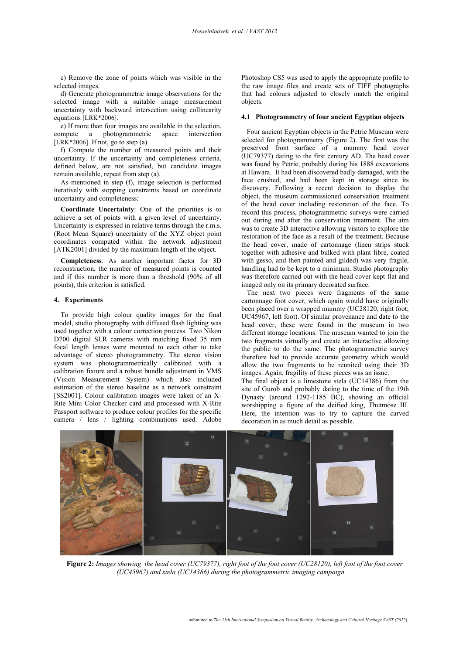c) Remove the zone of points which was visible in the selected images.

d) Generate photogrammetric image observations for the selected image with a suitable image measurement uncertainty with backward intersection using collinearity equations [LRK\*2006].

e) If more than four images are available in the selection, compute a photogrammetric space intersection [LRK\*2006]. If not, go to step  $(a)$ .

f) Compute the number of measured points and their uncertainty. If the uncertainty and completeness criteria, defined below, are not satisfied, but candidate images remain available, repeat from step (a).

As mentioned in step (f), image selection is performed iteratively with stopping constraints based on coordinate uncertainty and completeness:

**Coordinate Uncertainty**: One of the priorities is to achieve a set of points with a given level of uncertainty. Uncertainty is expressed in relative terms through the r.m.s. (Root Mean Square) uncertainty of the XYZ object point coordinates computed within the network adjustment [ATK2001] divided by the maximum length of the object.

**Completeness**: As another important factor for 3D reconstruction, the number of measured points is counted and if this number is more than a threshold (90% of all points), this criterion is satisfied.

#### **4. Experiments**

To provide high colour quality images for the final model, studio photography with diffused flash lighting was used together with a colour correction process. Two Nikon D700 digital SLR cameras with matching fixed 35 mm focal length lenses were mounted to each other to take advantage of stereo photogrammetry. The stereo vision system was photogrammetrically calibrated with a calibration fixture and a robust bundle adjustment in VMS (Vision Measurement System) which also included estimation of the stereo baseline as a network constraint [SS2001]. Colour calibration images were taken of an X-Rite Mini Color Checker card and processed with X-Rite Passport software to produce colour profiles for the specific camera / lens / lighting combinations used. Adobe

Photoshop CS5 was used to apply the appropriate profile to the raw image files and create sets of TIFF photographs that had colours adjusted to closely match the original objects.

## **4.1 Photogrammetry of four ancient Egyptian objects**

Four ancient Egyptian objects in the Petrie Museum were selected for photogrammetry (Figure 2). The first was the preserved front surface of a mummy head cover (UC79377) dating to the first century AD. The head cover was found by Petrie, probably during his 1888 excavations at Hawara. It had been discovered badly damaged, with the face crushed, and had been kept in storage since its discovery. Following a recent decision to display the object, the museum commissioned conservation treatment of the head cover including restoration of the face. To record this process, photogrammetric surveys were carried out during and after the conservation treatment. The aim was to create 3D interactive allowing visitors to explore the restoration of the face as a result of the treatment. Because the head cover, made of cartonnage (linen strips stuck together with adhesive and bulked with plant fibre, coated with gesso, and then painted and gilded) was very fragile, handling had to be kept to a minimum. Studio photography was therefore carried out with the head cover kept flat and imaged only on its primary decorated surface.

The next two pieces were fragments of the same cartonnage foot cover, which again would have originally been placed over a wrapped mummy (UC28120, right foot; UC45967, left foot). Of similar provenance and date to the head cover, these were found in the museum in two different storage locations. The museum wanted to join the two fragments virtually and create an interactive allowing the public to do the same. The photogrammetric survey therefore had to provide accurate geometry which would allow the two fragments to be reunited using their 3D images. Again, fragility of these pieces was an issue.

The final object is a limestone stela (UC14386) from the site of Gurob and probably dating to the time of the 19th Dynasty (around 1292-1185 BC), showing an official worshipping a figure of the deified king, Thutmose III. Here, the intention was to try to capture the carved decoration in as much detail as possible.



**Figure 2:** *Images showing the head cover (UC79377), right foot of the foot cover (UC28120), left foot of the foot cover (UC45967) and stela (UC14386) during the photogrammetric imaging campaign.*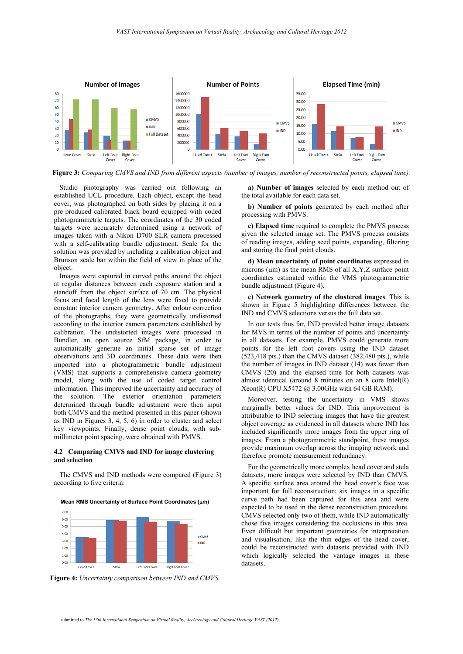

**Figure 3:** *Comparing CMVS and IND from different aspects (number of images, number of reconstructed points, elapsed time).*

Studio photography was carried out following an established UCL procedure. Each object, except the head cover, was photographed on both sides by placing it on a pre-produced calibrated black board equipped with coded photogrammetric targets. The coordinates of the 30 coded targets were accurately determined using a network of images taken with a Nikon D700 SLR camera processed with a self-calibrating bundle adjustment. Scale for the solution was provided by including a calibration object and Brunson scale bar within the field of view in place of the object.

Images were captured in curved paths around the object at regular distances between each exposure station and a standoff from the object surface of 70 cm. The physical focus and focal length of the lens were fixed to provide constant interior camera geometry. After colour correction of the photographs, they were geometrically undistorted according to the interior camera parameters established by calibration. The undistorted images were processed in Bundler, an open source SfM package, in order to automatically generate an initial sparse set of image observations and 3D coordinates. These data were then imported into a photogrammetric bundle adjustment (VMS) that supports a comprehensive camera geometry model, along with the use of coded target control information. This improved the uncertainty and accuracy of the solution. The exterior orientation parameters determined through bundle adjustment were then input both CMVS and the method presented in this paper (shown as IND in Figures 3, 4, 5,  $\overline{6}$ ) in order to cluster and select key viewpoints. Finally, dense point clouds, with submillimeter point spacing, were obtained with PMVS.

## **4.2 Comparing CMVS and IND for image clustering and selection**

The CMVS and IND methods were compared (Figure 3) according to five criteria:

**Mean RMS Uncertainty of Surface Point Coordinates (m)** 



**Figure 4:** *Uncertainty comparison between IND and CMVS.*

**a) Number of images** selected by each method out of the total available for each data set.

**b) Number of points** generated by each method after processing with PMVS.

**c) Elapsed time** required to complete the PMVS process given the selected image set. The PMVS process consists of reading images, adding seed points, expanding, filtering and storing the final point clouds.

**d) Mean uncertainty of point coordinates** expressed in microns ( $\mu$ m) as the mean RMS of all X,Y,Z surface point coordinates estimated within the VMS photogrammetric bundle adjustment (Figure 4).

**e) Network geometry of the clustered images**. This is shown in Figure 5 highlighting differences between the IND and CMVS selections versus the full data set.

In our tests thus far, IND provided better image datasets for MVS in terms of the number of points and uncertainty in all datasets. For example, PMVS could generate more points for the left foot covers using the IND dataset (523,418 pts.) than the CMVS dataset (382,480 pts.), while the number of images in IND dataset (14) was fewer than CMVS (20) and the elapsed time for both datasets was almost identical (around  $\hat{8}$  minutes on an  $\hat{8}$  core Intel(R) Xeon(R) CPU X5472 @ 3.00GHz with 64 GB RAM).

Moreover, testing the uncertainty in VMS shows marginally better values for IND. This improvement is attributable to IND selecting images that have the greatest object coverage as evidenced in all datasets where IND has included significantly more images from the upper ring of images. From a photogrammetric standpoint, these images provide maximum overlap across the imaging network and therefore promote measurement redundancy.

For the geometrically more complex head cover and stela datasets, more images were selected by IND than CMVS. A specific surface area around the head cover's face was important for full reconstruction; six images in a specific curve path had been captured for this area and were expected to be used in the dense reconstruction procedure. CMVS selected only two of them, while IND automatically chose five images considering the occlusions in this area. Even difficult but important geometries for interpretation and visualisation, like the thin edges of the head cover, could be reconstructed with datasets provided with IND which logically selected the vantage images in these datasets.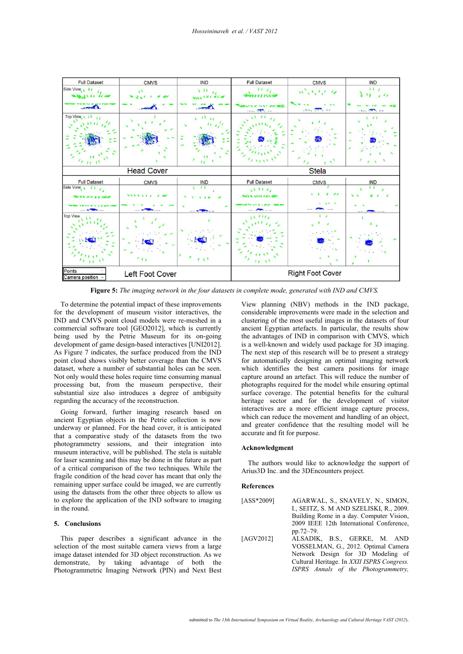

**Figure 5:** *The imaging network in the four datasets in complete mode, generated with IND and CMVS.*

To determine the potential impact of these improvements for the development of museum visitor interactives, the IND and CMVS point cloud models were re-meshed in a commercial software tool [GEO2012], which is currently being used by the Petrie Museum for its on-going development of game design-based interactives [UNI2012]. As Figure 7 indicates, the surface produced from the IND point cloud shows visibly better coverage than the CMVS dataset, where a number of substantial holes can be seen. Not only would these holes require time consuming manual processing but, from the museum perspective, their substantial size also introduces a degree of ambiguity regarding the accuracy of the reconstruction.

Going forward, further imaging research based on ancient Egyptian objects in the Petrie collection is now underway or planned. For the head cover, it is anticipated that a comparative study of the datasets from the two photogrammetry sessions, and their integration into museum interactive, will be published. The stela is suitable for laser scanning and this may be done in the future as part of a critical comparison of the two techniques. While the fragile condition of the head cover has meant that only the remaining upper surface could be imaged, we are currently using the datasets from the other three objects to allow us to explore the application of the IND software to imaging in the round.

# **5. Conclusions**

This paper describes a significant advance in the selection of the most suitable camera views from a large image dataset intended for 3D object reconstruction. As we demonstrate, by taking advantage of both the Photogrammetric Imaging Network (PIN) and Next Best

View planning (NBV) methods in the IND package, considerable improvements were made in the selection and clustering of the most useful images in the datasets of four ancient Egyptian artefacts. In particular, the results show the advantages of IND in comparison with CMVS, which is a well-known and widely used package for 3D imaging. The next step of this research will be to present a strategy for automatically designing an optimal imaging network which identifies the best camera positions for image capture around an artefact. This will reduce the number of photographs required for the model while ensuring optimal surface coverage. The potential benefits for the cultural heritage sector and for the development of visitor interactives are a more efficient image capture process, which can reduce the movement and handling of an object, and greater confidence that the resulting model will be accurate and fit for purpose.

## **Acknowledgment**

The authors would like to acknowledge the support of Arius3D Inc. and the 3DEncounters project.

## **References**

| [ASS*2009] | AGARWAL, S., SNAVELY, N., SIMON,<br>I., SEITZ, S. M AND SZELISKI, R., 2009.<br>Building Rome in a day. Computer Vision, |
|------------|-------------------------------------------------------------------------------------------------------------------------|
|            | 2009 IEEE 12th International Conference,                                                                                |
|            |                                                                                                                         |
|            | pp.72–79.                                                                                                               |
| [AGV2012]  | ALSADIK, B.S., GERKE, M. AND                                                                                            |
|            | VOSSELMAN, G., 2012. Optimal Camera                                                                                     |
|            | Network Design for 3D Modeling of                                                                                       |
|            | Cultural Heritage. In XXII ISPRS Congress.                                                                              |
|            | ISPRS Annals of the Photogrammetry,                                                                                     |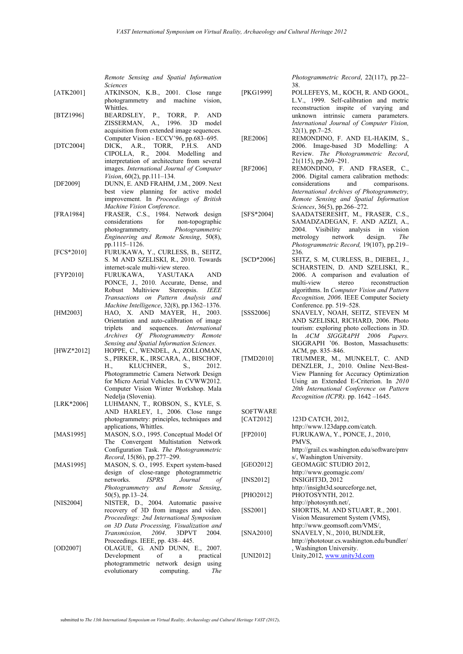|            | Remote Sensing and Spatial Information                           |
|------------|------------------------------------------------------------------|
|            | Sciences                                                         |
| [ATK2001]  | ATKINSON, K.B., 2001. Close range                                |
|            | photogrammetry and machine vision,                               |
|            | Whittles.                                                        |
| [BTZ1996]  | BEARDSLEY, P.,<br>TORR, P.<br>AND                                |
|            | ZISSERMAN, A., 1996.<br>3D<br>model                              |
|            | acquisition from extended image sequences.                       |
|            | Computer Vision - ECCV'96, pp.683-695.                           |
| [DTC2004]  | DICK, A.R., TORR, P.H.S. AND<br>CIPOLLA, R., 2004. Modelling and |
|            |                                                                  |
|            | interpretation of architecture from several                      |
|            | images. International Journal of Computer                        |
|            | Vision, 60(2), pp.111-134.                                       |
| [DF2009]   | DUNN, E. AND FRAHM, J.M., 2009. Next                             |
|            | best view planning for active model                              |
|            | improvement. In Proceedings of British                           |
|            | Machine Vision Conference.                                       |
| [FRA1984]  | FRASER, C.S., 1984. Network design                               |
|            | for non-topographic<br>considerations                            |
|            | photogrammetry.<br>Photogrammetric                               |
|            | Engineering and Remote Sensing, 50(8),                           |
|            | pp.1115-1126.                                                    |
| [FCS*2010] | FURUKAWA, Y., CURLESS, B., SEITZ,                                |
|            | S. M AND SZELISKI, R., 2010. Towards                             |
|            | internet-scale multi-view stereo.                                |
|            | FURUKAWA, YASUTAKA                                               |
| [FYP2010]  | AND                                                              |
|            | PONCE, J., 2010. Accurate, Dense, and                            |
|            | Robust Multiview Stereopsis.<br><i>IEEE</i>                      |
|            | Transactions on Pattern Analysis and                             |
|            | Machine Intelligence, 32(8), pp.1362-1376.                       |
| [HM2003]   | HAO, X. AND MAYER, H., 2003.                                     |
|            | Orientation and auto-calibration of image                        |
|            | sequences. International<br>triplets<br>and                      |
|            | Archives Of Photogrammetry Remote                                |
|            | Sensing and Spatial Information Sciences.                        |
| [HWZ*2012] | HOPPE, C., WENDEL, A., ZOLLOMAN,                                 |
|            | S., PIRKER, K., IRSCARA, A., BISCHOF,                            |
|            | KLUCHNER,<br>H.,<br>2012.<br>S.,                                 |
|            | Photogrammetric Camera Network Design                            |
|            | for Micro Aerial Vehicles. In CVWW2012.                          |
|            | Computer Vision Winter Workshop. Mala                            |
|            | Nedelja (Slovenia).                                              |
| [LRK*2006] | LUHMANN, T., ROBSON, S., KYLE, S.                                |
|            | AND HARLEY, I., 2006. Close range                                |
|            | photogrammetry: principles, techniques and                       |
|            | applications, Whittles.                                          |
| [MAS1995]  | MASON, S.O., 1995. Conceptual Model Of                           |
|            | The Convergent Multistation<br>Network                           |
|            | Configuration Task. The Photogrammetric                          |
|            | Record, 15(86), pp.277-299.                                      |
| [MAS1995]  | MASON, S. O., 1995. Expert system-based                          |
|            | of close-range photogrammetric<br>design                         |
|            | ISPRS<br>networks.<br>Journal<br>οf                              |
|            | Photogrammetry and Remote<br>Sensing,                            |
|            |                                                                  |
|            | $50(5)$ , pp.13-24.                                              |
| [NIS2004]  | NISTER, D., 2004. Automatic passive                              |
|            | recovery of 3D from images and video.                            |
|            | Proceedings: 2nd International Symposium                         |
|            | on 3D Data Processing, Visualization and                         |
|            | 2004.<br><i>Transmission,</i><br>3DPVT<br>2004.                  |
|            | Proceedings. IEEE, pp. 438-445.                                  |
| [OD2007]   | OLAGUE, G. AND DUNN, E., 2007.                                   |
|            | Development<br>οf<br>practical<br>a                              |
|            | photogrammetric network design using                             |

*Photogrammetric Record*, 22(117), pp.22– 38.

- [PKG1999] POLLEFEYS, M., KOCH, R. AND GOOL, L.V., 1999. Self-calibration and metric reconstruction inspite of varying and unknown intrinsic camera parameters. *International Journal of Computer Vision,* 32(1), pp.7–25.
- [RE2006] REMONDINO, F. AND EL-HAKIM, S., 2006. Image-based 3D Modelling: A Review. *The Photogrammetric Record*, 21(115), pp.269–291.
- [RF2006] REMONDINO, F. AND FRASER, C., 2006. Digital camera calibration methods: considerations *International Archives of Photogrammetry, Remote Sensing and Spatial Information Sciences*, 36(5), pp.266–272.
- [SFS\*2004] SAADATSERESHT, M., FRASER, C.S., SAMADZADEGAN, F. AND AZIZI, A., 2004. Visibility analysis in vision metrology network design. *The Photogrammetric Record,* 19(107), pp.219– 236.
- [SCD\*2006] SEITZ, S. M, CURLESS, B., DIEBEL, J., SCHARSTEIN, D. AND SZELISKI, R., 2006. A comparison and evaluation of multi-view stereo reconstruction algorithms. In *Computer Vision and Pattern Recognition, 2006*. IEEE Computer Society Conference. pp. 519–528.
- [SSS2006] SNAVELY, NOAH, SEITZ, STEVEN M AND SZELISKI, RICHARD, 2006. Photo tourism: exploring photo collections in 3D. In *ACM SIGGRAPH 2006 Papers.* SIGGRAPH '06. Boston, Massachusetts: ACM, pp. 835–846.
- [TMD2010] TRUMMER, M., MUNKELT, C. AND DENZLER, J., 2010. Online Next-Best-View Planning for Accuracy Optimization Using an Extended E-Criterion. In *2010 20th International Conference on Pattern Recognition (ICPR).* pp. 1642 –1645.
- **SOFTWARE** [CAT2012] 123D CATCH, 2012, http://www.123dapp.com/catch. [FP2010] FURUKAWA, Y., PONCE, J., 2010, PMVS, http://grail.cs.washington.edu/software/pmv s/, Washington University. [GEO2012] GEOMAGIC STUDIO 2012, http://www.geomagic.com/ [INS2012] INSIGHT3D, 2012 http://insight3d.sourceforge.net, [PHO2012] PHOTOSYNTH, 2012. http://photosynth.net/, [SS2001] SHORTIS, M. AND STUART, R., 2001. Vision Measurement System (VMS), http://www.geomsoft.com/VMS/, [SNA2010] SNAVELY, N., 2010, BUNDLER, http://phototour.cs.washington.edu/bundler/ Washington University. [UNI2012] Unity,2012, www.unity3d.com

evolutionary computing. *The*